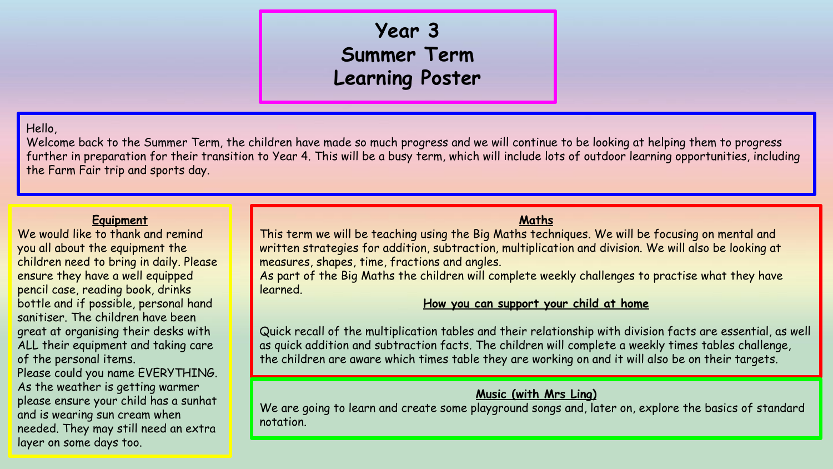# **Year 3 Summer Term Learning Poster**

# Hello,

Welcome back to the Summer Term, the children have made so much progress and we will continue to be looking at helping them to progress further in preparation for their transition to Year 4. This will be a busy term, which will include lots of outdoor learning opportunities, including the Farm Fair trip and sports day.

#### **Equipment**

We would like to thank and remind you all about the equipment the children need to bring in daily. Please ensure they have a well equipped pencil case, reading book, drinks bottle and if possible, personal hand sanitiser. The children have been great at organising their desks with ALL their equipment and taking care of the personal items.

Please could you name EVERYTHING. As the weather is getting warmer please ensure your child has a sunhat and is wearing sun cream when needed. They may still need an extra layer on some days too.

# **Maths**

This term we will be teaching using the Big Maths techniques. We will be focusing on mental and written strategies for addition, subtraction, multiplication and division. We will also be looking at measures, shapes, time, fractions and angles.

As part of the Big Maths the children will complete weekly challenges to practise what they have learned.

# **How you can support your child at home**

Quick recall of the multiplication tables and their relationship with division facts are essential, as well as quick addition and subtraction facts. The children will complete a weekly times tables challenge, the children are aware which times table they are working on and it will also be on their targets.

# **Music (with Mrs Ling)**

We are going to learn and create some playground songs and, later on, explore the basics of standard notation.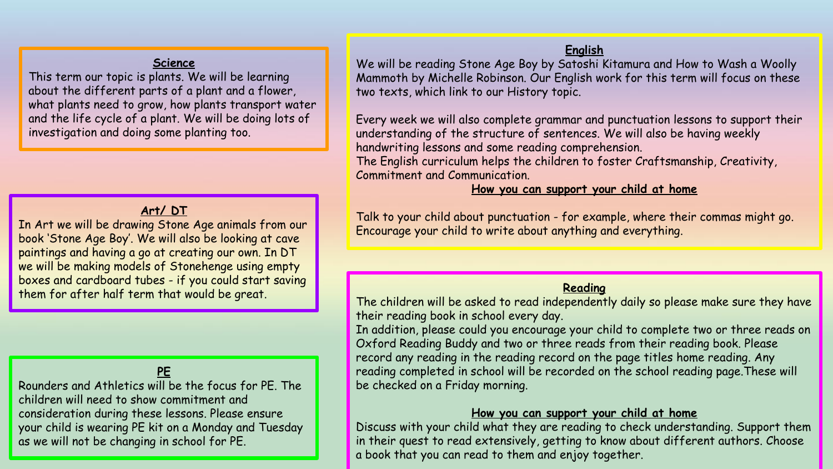#### **Science**

This term our topic is plants. We will be learning about the different parts of a plant and a flower, what plants need to grow, how plants transport water and the life cycle of a plant. We will be doing lots of investigation and doing some planting too.

# **Art/ DT**

In Art we will be drawing Stone Age animals from our book 'Stone Age Boy'. We will also be looking at cave paintings and having a go at creating our own. In DT we will be making models of Stonehenge using empty boxes and cardboard tubes - if you could start saving them for after half term that would be great.

# **PE**

Rounders and Athletics will be the focus for PE. The children will need to show commitment and consideration during these lessons. Please ensure your child is wearing PE kit on a Monday and Tuesday as we will not be changing in school for PE.

# **English**

We will be reading Stone Age Boy by Satoshi Kitamura and How to Wash a Woolly Mammoth by Michelle Robinson. Our English work for this term will focus on these two texts, which link to our History topic.

Every week we will also complete grammar and punctuation lessons to support their understanding of the structure of sentences. We will also be having weekly handwriting lessons and some reading comprehension.

The English curriculum helps the children to foster Craftsmanship, Creativity, Commitment and Communication.

# **How you can support your child at home**

Talk to your child about punctuation - for example, where their commas might go. Encourage your child to write about anything and everything.

#### **Reading**

The children will be asked to read independently daily so please make sure they have their reading book in school every day.

In addition, please could you encourage your child to complete two or three reads on Oxford Reading Buddy and two or three reads from their reading book. Please record any reading in the reading record on the page titles home reading. Any reading completed in school will be recorded on the school reading page.These will be checked on a Friday morning.

# **How you can support your child at home**

Discuss with your child what they are reading to check understanding. Support them in their quest to read extensively, getting to know about different authors. Choose a book that you can read to them and enjoy together.